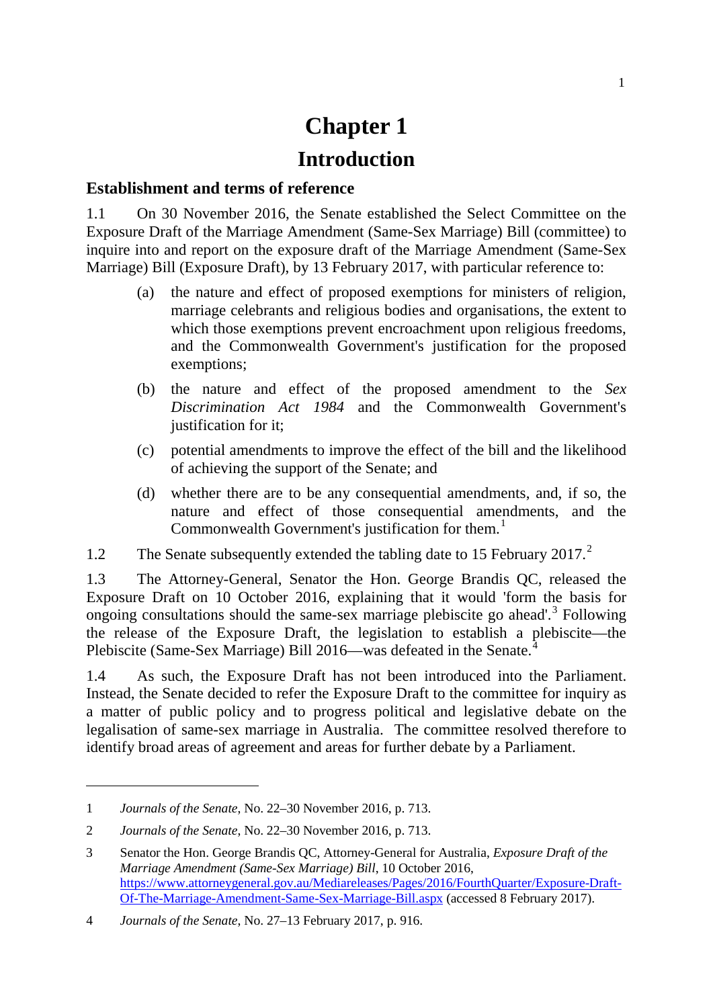# **Chapter 1**

## **Introduction**

#### **Establishment and terms of reference**

1.1 On 30 November 2016, the Senate established the Select Committee on the Exposure Draft of the Marriage Amendment (Same-Sex Marriage) Bill (committee) to inquire into and report on the exposure draft of the Marriage Amendment (Same-Sex Marriage) Bill (Exposure Draft), by 13 February 2017, with particular reference to:

- (a) the nature and effect of proposed exemptions for ministers of religion, marriage celebrants and religious bodies and organisations, the extent to which those exemptions prevent encroachment upon religious freedoms, and the Commonwealth Government's justification for the proposed exemptions;
- (b) the nature and effect of the proposed amendment to the *Sex Discrimination Act 1984* and the Commonwealth Government's justification for it;
- (c) potential amendments to improve the effect of the bill and the likelihood of achieving the support of the Senate; and
- (d) whether there are to be any consequential amendments, and, if so, the nature and effect of those consequential amendments, and the Commonwealth Government's justification for them.<sup>[1](#page-0-0)</sup>
- 1.[2](#page-0-1) The Senate subsequently extended the tabling date to 15 February 2017.<sup>2</sup>

1.3 The Attorney-General, Senator the Hon. George Brandis QC, released the Exposure Draft on 10 October 2016, explaining that it would 'form the basis for ongoing consultations should the same-sex marriage plebiscite go ahead'.[3](#page-0-2) Following the release of the Exposure Draft, the legislation to establish a plebiscite—the Plebiscite (Same-Sex Marriage) Bill 2016—was defeated in the Senate.<sup>[4](#page-0-3)</sup>

1.4 As such, the Exposure Draft has not been introduced into the Parliament. Instead, the Senate decided to refer the Exposure Draft to the committee for inquiry as a matter of public policy and to progress political and legislative debate on the legalisation of same-sex marriage in Australia. The committee resolved therefore to identify broad areas of agreement and areas for further debate by a Parliament.

-

<span id="page-0-0"></span><sup>1</sup> *Journals of the Senate*, No. 22–30 November 2016, p. 713.

<span id="page-0-1"></span><sup>2</sup> *Journals of the Senate*, No. 22–30 November 2016, p. 713.

<span id="page-0-2"></span><sup>3</sup> Senator the Hon. George Brandis QC, Attorney-General for Australia, *Exposure Draft of the Marriage Amendment (Same-Sex Marriage) Bill*, 10 October 2016, [https://www.attorneygeneral.gov.au/Mediareleases/Pages/2016/FourthQuarter/Exposure-Draft-](https://www.attorneygeneral.gov.au/Mediareleases/Pages/2016/FourthQuarter/Exposure-Draft-Of-The-Marriage-Amendment-Same-Sex-Marriage-Bill.aspx)[Of-The-Marriage-Amendment-Same-Sex-Marriage-Bill.aspx](https://www.attorneygeneral.gov.au/Mediareleases/Pages/2016/FourthQuarter/Exposure-Draft-Of-The-Marriage-Amendment-Same-Sex-Marriage-Bill.aspx) (accessed 8 February 2017).

<span id="page-0-3"></span><sup>4</sup> *Journals of the Senate*, No. 27–13 February 2017, p. 916.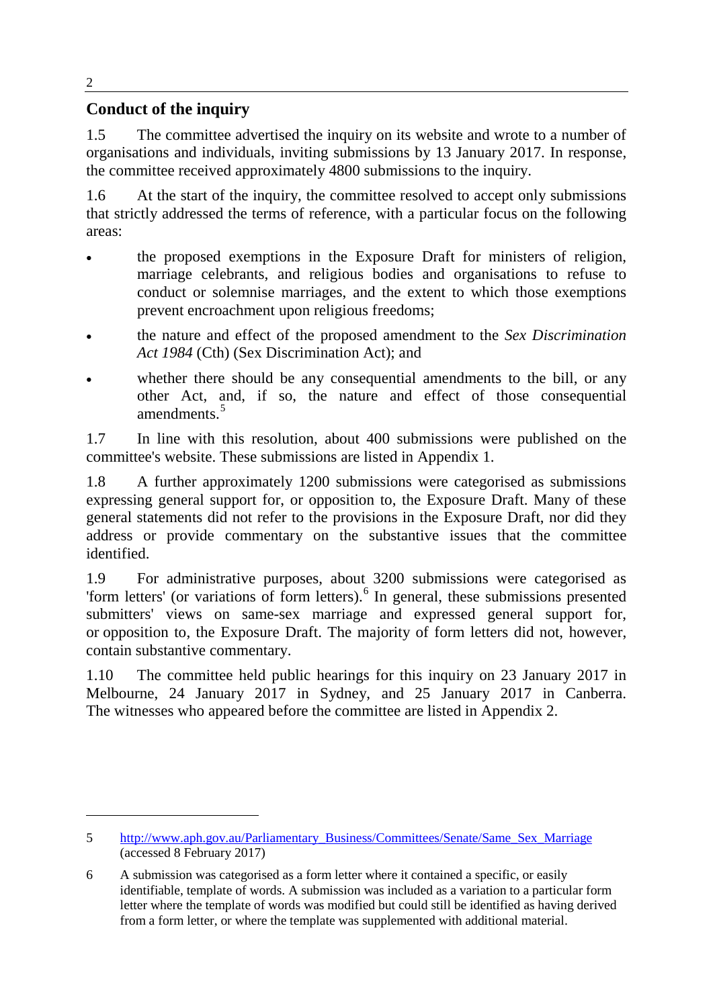### **Conduct of the inquiry**

1.5 The committee advertised the inquiry on its website and wrote to a number of organisations and individuals, inviting submissions by 13 January 2017. In response, the committee received approximately 4800 submissions to the inquiry.

1.6 At the start of the inquiry, the committee resolved to accept only submissions that strictly addressed the terms of reference, with a particular focus on the following areas:

- the proposed exemptions in the Exposure Draft for ministers of religion, marriage celebrants, and religious bodies and organisations to refuse to conduct or solemnise marriages, and the extent to which those exemptions prevent encroachment upon religious freedoms;
- the nature and effect of the proposed amendment to the *Sex Discrimination Act 1984* (Cth) (Sex Discrimination Act); and
- whether there should be any consequential amendments to the bill, or any other Act, and, if so, the nature and effect of those consequential amendments.<sup>[5](#page-1-0)</sup>

1.7 In line with this resolution, about 400 submissions were published on the committee's website. These submissions are listed in Appendix 1.

1.8 A further approximately 1200 submissions were categorised as submissions expressing general support for, or opposition to, the Exposure Draft. Many of these general statements did not refer to the provisions in the Exposure Draft, nor did they address or provide commentary on the substantive issues that the committee identified.

1.9 For administrative purposes, about 3200 submissions were categorised as 'form letters' (or variations of form letters).[6](#page-1-1) In general, these submissions presented submitters' views on same-sex marriage and expressed general support for, or opposition to, the Exposure Draft. The majority of form letters did not, however, contain substantive commentary.

1.10 The committee held public hearings for this inquiry on 23 January 2017 in Melbourne, 24 January 2017 in Sydney, and 25 January 2017 in Canberra. The witnesses who appeared before the committee are listed in Appendix 2.

2

-

<span id="page-1-0"></span><sup>5</sup> [http://www.aph.gov.au/Parliamentary\\_Business/Committees/Senate/Same\\_Sex\\_Marriage](http://www.aph.gov.au/Parliamentary_Business/Committees/Senate/Same_Sex_Marriage) (accessed 8 February 2017)

<span id="page-1-1"></span><sup>6</sup> A submission was categorised as a form letter where it contained a specific, or easily identifiable, template of words. A submission was included as a variation to a particular form letter where the template of words was modified but could still be identified as having derived from a form letter, or where the template was supplemented with additional material.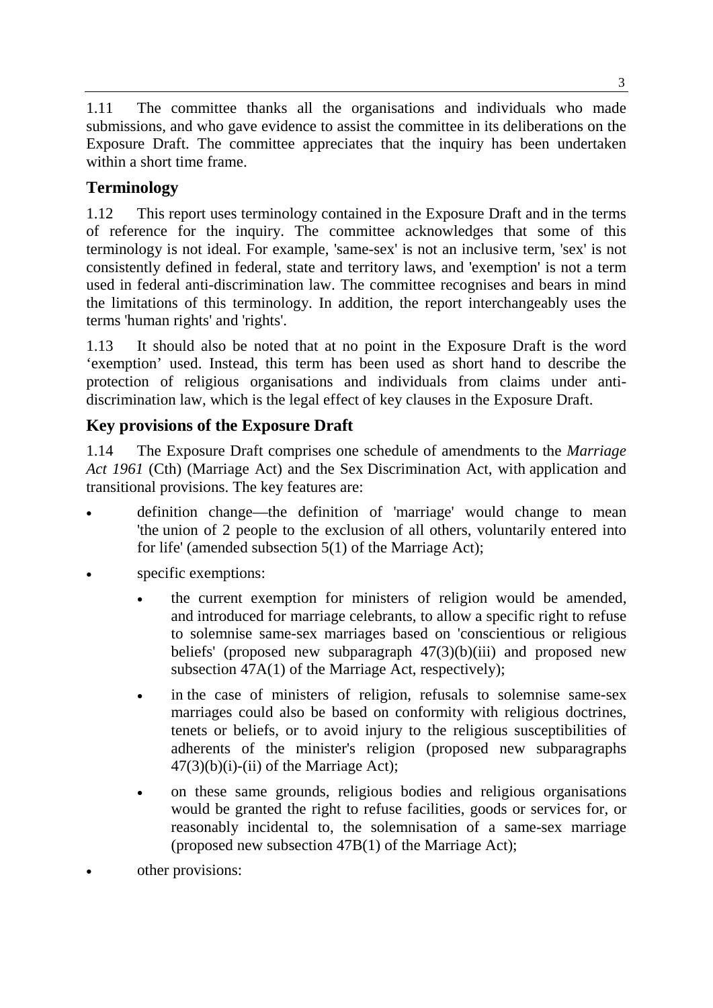1.11 The committee thanks all the organisations and individuals who made submissions, and who gave evidence to assist the committee in its deliberations on the Exposure Draft. The committee appreciates that the inquiry has been undertaken within a short time frame.

## **Terminology**

1.12 This report uses terminology contained in the Exposure Draft and in the terms of reference for the inquiry. The committee acknowledges that some of this terminology is not ideal. For example, 'same-sex' is not an inclusive term, 'sex' is not consistently defined in federal, state and territory laws, and 'exemption' is not a term used in federal anti-discrimination law. The committee recognises and bears in mind the limitations of this terminology. In addition, the report interchangeably uses the terms 'human rights' and 'rights'.

1.13 It should also be noted that at no point in the Exposure Draft is the word 'exemption' used. Instead, this term has been used as short hand to describe the protection of religious organisations and individuals from claims under antidiscrimination law, which is the legal effect of key clauses in the Exposure Draft.

## **Key provisions of the Exposure Draft**

1.14 The Exposure Draft comprises one schedule of amendments to the *Marriage Act 1961* (Cth) (Marriage Act) and the Sex Discrimination Act, with application and transitional provisions. The key features are:

- definition change—the definition of 'marriage' would change to mean 'the union of 2 people to the exclusion of all others, voluntarily entered into for life' (amended subsection 5(1) of the Marriage Act);
- specific exemptions:
	- the current exemption for ministers of religion would be amended, and introduced for marriage celebrants, to allow a specific right to refuse to solemnise same-sex marriages based on 'conscientious or religious beliefs' (proposed new subparagraph 47(3)(b)(iii) and proposed new subsection 47A(1) of the Marriage Act, respectively);
	- in the case of ministers of religion, refusals to solemnise same-sex marriages could also be based on conformity with religious doctrines, tenets or beliefs, or to avoid injury to the religious susceptibilities of adherents of the minister's religion (proposed new subparagraphs  $47(3)(b)(i)$ -(ii) of the Marriage Act);
	- on these same grounds, religious bodies and religious organisations would be granted the right to refuse facilities, goods or services for, or reasonably incidental to, the solemnisation of a same-sex marriage (proposed new subsection 47B(1) of the Marriage Act);
- other provisions: